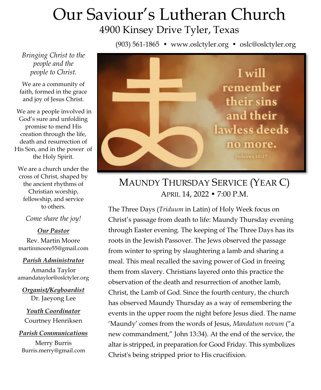# Our Saviour's Lutheran Church 4900 Kinsey Drive Tyler, Texas

(903) 561-1865 • www.oslctyler.org • oslc@oslctyler.org

*Bringing Christ to the people and the people to Christ.*

We are a community of faith, formed in the grace and joy of Jesus Christ.

We are a people involved in God's sure and unfolding promise to mend His creation through the life, death and resurrection of His Son, and in the power of the Holy Spirit.

We are a church under the cross of Christ, shaped by the ancient rhythms of Christian worship, fellowship, and service to others.

*Come share the joy!*

*Our Pastor*

Rev. Martin Moore martinmoore55@gmail.com

#### *Parish Administrator*

Amanda Taylor amandataylor@oslctyler.org

*Organist/Keyboardist* Dr. Jaeyong Lee

*Youth Coordinator* Courtney Henriksen

*Parish Communications*

Merry Burris Burris.merry@gmail.com



# MAUNDY THURSDAY SERVICE (YEAR C) APRIL 14, 2022 • 7:00 P.M.

The Three Days (*Triduum* in Latin) of Holy Week focus on Christ's passage from death to life: Maundy Thursday evening through Easter evening. The keeping of The Three Days has its roots in the Jewish Passover. The Jews observed the passage from winter to spring by slaughtering a lamb and sharing a meal. This meal recalled the saving power of God in freeing them from slavery. Christians layered onto this practice the observation of the death and resurrection of another lamb, Christ, the Lamb of God. Since the fourth century, the church has observed Maundy Thursday as a way of remembering the events in the upper room the night before Jesus died. The name 'Maundy' comes from the words of Jesus, *Mandatum novum* ("a new commandment," John 13:34). At the end of the service, the altar is stripped, in preparation for Good Friday. This symbolizes Christ's being stripped prior to His crucifixion.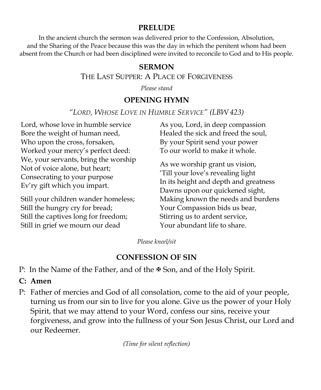#### **PRELUDE**

In the ancient church the sermon was delivered prior to the Confession, Absolution, and the Sharing of the Peace because this was the day in which the penitent whom had been absent from the Church or had been disciplined were invited to reconcile to God and to His people.

#### **SERMON**

#### THE LAST SUPPER: A PLACE OF FORGIVENESS

*Please stand*

#### **OPENING HYMN**

*"LORD, WHOSE LOVE IN HUMBLE SERVICE" (LBW 423)*

Lord, whose love in humble service Bore the weight of human need, Who upon the cross, forsaken, Worked your mercy's perfect deed: We, your servants, bring the worship Not of voice alone, but heart; Consecrating to your purpose Ev'ry gift which you impart.

Still your children wander homeless; Still the hungry cry for bread; Still the captives long for freedom; Still in grief we mourn our dead

As you, Lord, in deep compassion Healed the sick and freed the soul, By your Spirit send your power To our world to make it whole.

As we worship grant us vision, 'Till your love's revealing light In its height and depth and greatness Dawns upon our quickened sight, Making known the needs and burdens Your Compassion bids us bear, Stirring us to ardent service, Your abundant life to share.

*Please kneel/sit*

## **CONFESSION OF SIN**

P: In the Name of the Father, and of the  $\Phi$  Son, and of the Holy Spirit.

- **C: Amen**
- P: Father of mercies and God of all consolation, come to the aid of your people, turning us from our sin to live for you alone. Give us the power of your Holy Spirit, that we may attend to your Word, confess our sins, receive your forgiveness, and grow into the fullness of your Son Jesus Christ, our Lord and our Redeemer.

*(Time for silent reflection)*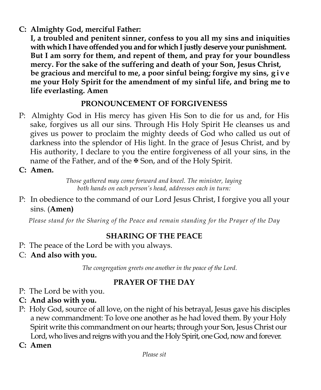## **C: Almighty God, merciful Father:**

**I, a troubled and penitent sinner, confess to you all my sins and iniquities with which I have offended you and for which I justly deserve your punishment. But I am sorry for them, and repent of them, and pray for your boundless mercy. For the sake of the suffering and death of your Son, Jesus Christ, be gracious and merciful to me, a poor sinful being; forgive my sins, g i v e me your Holy Spirit for the amendment of my sinful life, and bring me to life everlasting. Amen** 

# **PRONOUNCEMENT OF FORGIVENESS**

- P: Almighty God in His mercy has given His Son to die for us and, for His sake, forgives us all our sins. Through His Holy Spirit He cleanses us and gives us power to proclaim the mighty deeds of God who called us out of darkness into the splendor of His light. In the grace of Jesus Christ, and by His authority, I declare to you the entire forgiveness of all your sins, in the name of the Father, and of the  $\mathbb F$  Son, and of the Holy Spirit.
- **C: Amen.**

*Those gathered may come forward and kneel. The minister, laying both hands on each person's head, addresses each in turn:*

P: In obedience to the command of our Lord Jesus Christ, I forgive you all your sins. (**Amen)**

*Please stand for the Sharing of the Peace and remain standing for the Prayer of the Day*

# **SHARING OF THE PEACE**

- P: The peace of the Lord be with you always.
- C: **And also with you.**

*The congregation greets one another in the peace of the Lord.*

# **PRAYER OF THE DAY**

- P: The Lord be with you.
- **C: And also with you.**
- P: Holy God, source of all love, on the night of his betrayal, Jesus gave his disciples a new commandment: To love one another as he had loved them. By your Holy Spirit write this commandment on our hearts; through your Son, Jesus Christ our Lord, who lives and reigns with you and the Holy Spirit, one God, now and forever.
- **C: Amen**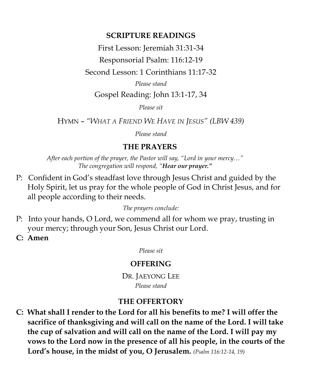#### **SCRIPTURE READINGS**

First Lesson: Jeremiah 31:31-34

Responsorial Psalm: 116:12-19

Second Lesson: 1 Corinthians 11:17-32

*Please stand*

Gospel Reading: John 13:1-17, 34

*Please sit*

HYMN – *"WHAT A FRIEND WE HAVE IN JESUS" (LBW 439)*

*Please stand*

## **THE PRAYERS**

*After each portion of the prayer, the Pastor will say, "Lord in your mercy…" The congregation will respond, "Hear our prayer."*

P: Confident in God's steadfast love through Jesus Christ and guided by the Holy Spirit, let us pray for the whole people of God in Christ Jesus, and for all people according to their needs.

*The prayers conclude:*

- P: Into your hands, O Lord, we commend all for whom we pray, trusting in your mercy; through your Son, Jesus Christ our Lord.
- **C: Amen**

*Please sit*

## **OFFERING**

DR. JAEYONG LEE *Please stand*

## **THE OFFERTORY**

**C: What shall I render to the Lord for all his benefits to me? I will offer the sacrifice of thanksgiving and will call on the name of the Lord. I will take the cup of salvation and will call on the name of the Lord. I will pay my vows to the Lord now in the presence of all his people, in the courts of the Lord's house, in the midst of you, O Jerusalem.** *(Psalm 116:12-14, 19)*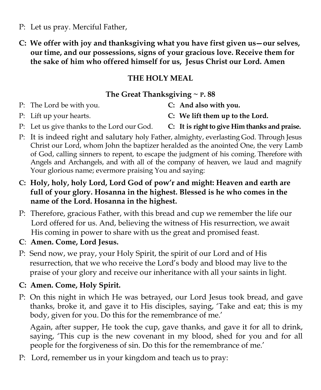- P: Let us pray. Merciful Father,
- **C: We offer with joy and thanksgiving what you have first given us—our selves, our time, and our possessions, signs of your gracious love. Receive them for the sake of him who offered himself for us, Jesus Christ our Lord. Amen**

## **THE HOLY MEAL**

## **The Great Thanksgiving ~ P. 88**

P: The Lord be with you. **C: And also with you.**

- 
- P: Lift up your hearts. **C: We lift them up to the Lord.**
- P: Let us give thanks to the Lord our God. **C: It is right to give Him thanks and praise.**
- P: It is indeed right and salutary holy Father, almighty, everlasting God. Through Jesus Christ our Lord, whom John the baptizer heralded as the anointed One, the very Lamb of God, calling sinners to repent, to escape the judgment of his coming. Therefore with Angels and Archangels, and with all of the company of heaven, we laud and magnify Your glorious name; evermore praising You and saying:
- **C: Holy, holy, holy Lord, Lord God of pow'r and might: Heaven and earth are full of your glory. Hosanna in the highest. Blessed is he who comes in the name of the Lord. Hosanna in the highest.**
- P: Therefore, gracious Father, with this bread and cup we remember the life our Lord offered for us. And, believing the witness of His resurrection, we await His coming in power to share with us the great and promised feast.
- **C**: **Amen. Come, Lord Jesus.**
- P: Send now, we pray, your Holy Spirit, the spirit of our Lord and of His resurrection, that we who receive the Lord's body and blood may live to the praise of your glory and receive our inheritance with all your saints in light.
- **C: Amen. Come, Holy Spirit.**
- P: On this night in which He was betrayed, our Lord Jesus took bread, and gave thanks, broke it, and gave it to His disciples, saying, 'Take and eat; this is my body, given for you. Do this for the remembrance of me.'

Again, after supper, He took the cup, gave thanks, and gave it for all to drink, saying, 'This cup is the new covenant in my blood, shed for you and for all people for the forgiveness of sin. Do this for the remembrance of me.'

P: Lord, remember us in your kingdom and teach us to pray: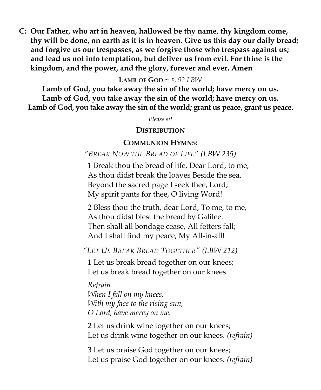**C: Our Father, who art in heaven, hallowed be thy name, thy kingdom come, thy will be done, on earth as it is in heaven. Give us this day our daily bread; and forgive us our trespasses, as we forgive those who trespass against us; and lead us not into temptation, but deliver us from evil. For thine is the kingdom, and the power, and the glory, forever and ever. Amen**

#### **LAMB OF GOD**  $\sim$  *P.* 92 LBW

**Lamb of God, you take away the sin of the world; have mercy on us. Lamb of God, you take away the sin of the world; have mercy on us. Lamb of God, you take away the sin of the world; grant us peace, grant us peace.**

*Please sit*

#### **DISTRIBUTION**

#### **COMMUNION HYMNS:**

#### *"BREAK NOW THE BREAD OF LIFE" (LBW 235)*

1 Break thou the bread of life, Dear Lord, to me, As thou didst break the loaves Beside the sea. Beyond the sacred page I seek thee, Lord; My spirit pants for thee, O living Word!

2 Bless thou the truth, dear Lord, To me, to me, As thou didst blest the bread by Galilee. Then shall all bondage cease, All fetters fall; And I shall find my peace, My All-in-all!

*"LET US BREAK BREAD TOGETHER" (LBW 212)*

1 Let us break bread together on our knees; Let us break bread together on our knees.

*Refrain When I fall on my knees, With my face to the rising sun, O Lord, have mercy on me.*

2 Let us drink wine together on our knees; Let us drink wine together on our knees. *(refrain)*

3 Let us praise God together on our knees; Let us praise God together on our knees. *(refrain)*